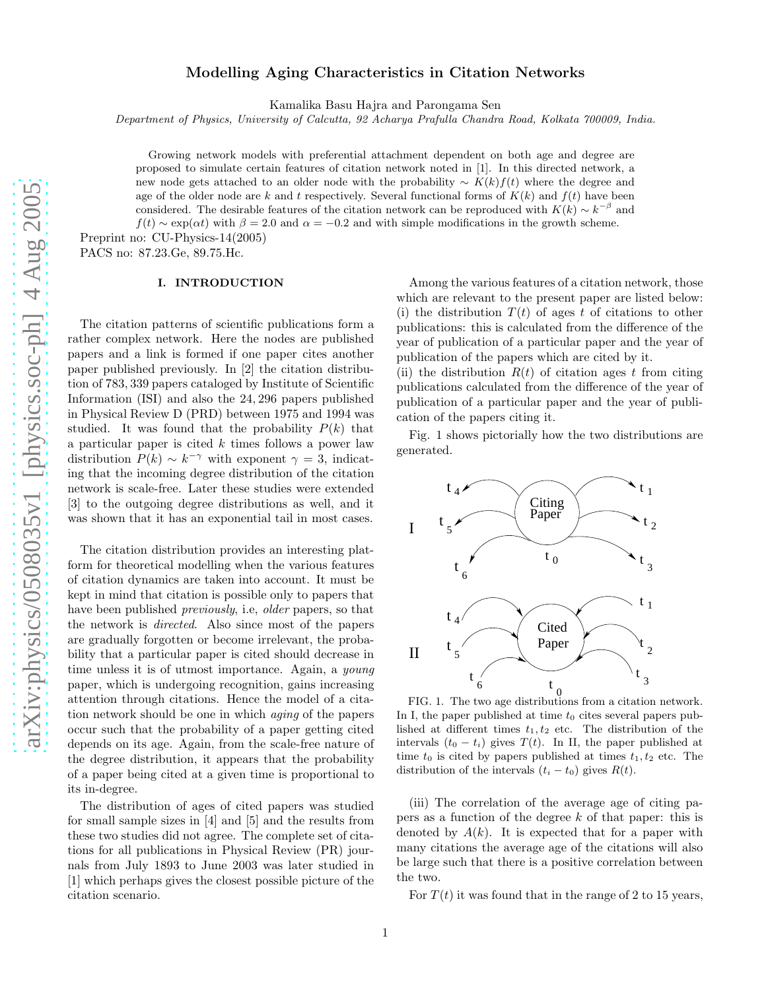# Modelling Aging Characteristics in Citation Networks

Kamalika Basu Hajra and Parongama Sen

Department of Physics, University of Calcutta, 92 Acharya Prafulla Chandra Road, Kolkata 700009, India.

Growing network models with preferential attachment dependent on both age and degree are proposed to simulate certain features of citation network noted in [1]. In this directed network, a new node gets attached to an older node with the probability  $\sim K(k)f(t)$  where the degree and age of the older node are k and t respectively. Several functional forms of  $K(k)$  and  $f(t)$  have been considered. The desirable features of the citation network can be reproduced with  $K(k) \sim k^{-\beta}$  and  $f(t) \sim \exp(\alpha t)$  with  $\beta = 2.0$  and  $\alpha = -0.2$  and with simple modifications in the growth scheme.

Preprint no: CU-Physics-14(2005) PACS no: 87.23.Ge, 89.75.Hc.

### I. INTRODUCTION

The citation patterns of scientific publications form a rather complex network. Here the nodes are published papers and a link is formed if one paper cites another paper published previously. In [2] the citation distribution of 783, 339 papers cataloged by Institute of Scientific Information (ISI) and also the 24, 296 papers published in Physical Review D (PRD) between 1975 and 1994 was studied. It was found that the probability  $P(k)$  that a particular paper is cited  $k$  times follows a power law distribution  $P(k) \sim k^{-\gamma}$  with exponent  $\gamma = 3$ , indicating that the incoming degree distribution of the citation network is scale-free. Later these studies were extended [3] to the outgoing degree distributions as well, and it was shown that it has an exponential tail in most cases.

The citation distribution provides an interesting platform for theoretical modelling when the various features of citation dynamics are taken into account. It must be kept in mind that citation is possible only to papers that have been published *previously*, i.e., *older* papers, so that the network is directed. Also since most of the papers are gradually forgotten or become irrelevant, the probability that a particular paper is cited should decrease in time unless it is of utmost importance. Again, a young paper, which is undergoing recognition, gains increasing attention through citations. Hence the model of a citation network should be one in which aging of the papers occur such that the probability of a paper getting cited depends on its age. Again, from the scale-free nature of the degree distribution, it appears that the probability of a paper being cited at a given time is proportional to its in-degree.

The distribution of ages of cited papers was studied for small sample sizes in [4] and [5] and the results from these two studies did not agree. The complete set of citations for all publications in Physical Review (PR) journals from July 1893 to June 2003 was later studied in [1] which perhaps gives the closest possible picture of the citation scenario.

Among the various features of a citation network, those which are relevant to the present paper are listed below: (i) the distribution  $T(t)$  of ages t of citations to other publications: this is calculated from the difference of the year of publication of a particular paper and the year of publication of the papers which are cited by it.

(ii) the distribution  $R(t)$  of citation ages t from citing publications calculated from the difference of the year of publication of a particular paper and the year of publication of the papers citing it.

Fig. 1 shows pictorially how the two distributions are generated.



FIG. 1. The two age distributions from a citation network. In I, the paper published at time  $t_0$  cites several papers published at different times  $t_1, t_2$  etc. The distribution of the intervals  $(t_0 - t_i)$  gives  $T(t)$ . In II, the paper published at time  $t_0$  is cited by papers published at times  $t_1, t_2$  etc. The distribution of the intervals  $(t_i - t_0)$  gives  $R(t)$ .

(iii) The correlation of the average age of citing papers as a function of the degree k of that paper: this is denoted by  $A(k)$ . It is expected that for a paper with many citations the average age of the citations will also be large such that there is a positive correlation between the two.

For  $T(t)$  it was found that in the range of 2 to 15 years,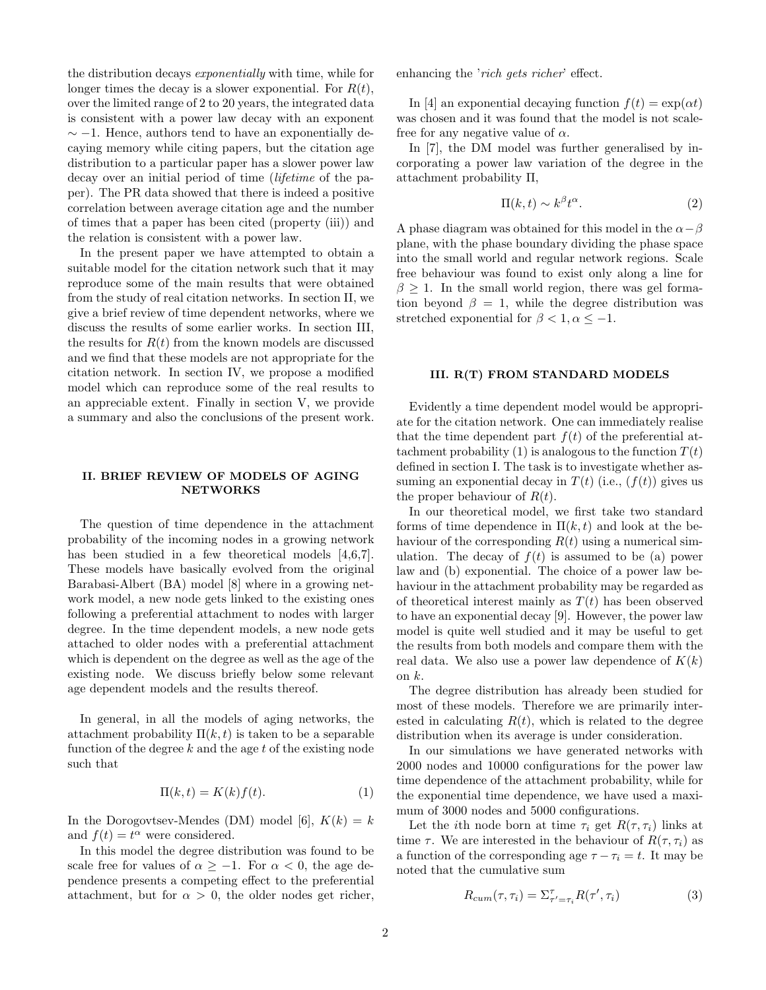the distribution decays exponentially with time, while for longer times the decay is a slower exponential. For  $R(t)$ , over the limited range of 2 to 20 years, the integrated data is consistent with a power law decay with an exponent  $\sim$  −1. Hence, authors tend to have an exponentially decaying memory while citing papers, but the citation age distribution to a particular paper has a slower power law decay over an initial period of time (lifetime of the paper). The PR data showed that there is indeed a positive correlation between average citation age and the number of times that a paper has been cited (property (iii)) and the relation is consistent with a power law.

In the present paper we have attempted to obtain a suitable model for the citation network such that it may reproduce some of the main results that were obtained from the study of real citation networks. In section II, we give a brief review of time dependent networks, where we discuss the results of some earlier works. In section III, the results for  $R(t)$  from the known models are discussed and we find that these models are not appropriate for the citation network. In section IV, we propose a modified model which can reproduce some of the real results to an appreciable extent. Finally in section V, we provide a summary and also the conclusions of the present work.

## II. BRIEF REVIEW OF MODELS OF AGING NETWORKS

The question of time dependence in the attachment probability of the incoming nodes in a growing network has been studied in a few theoretical models [4,6,7]. These models have basically evolved from the original Barabasi-Albert (BA) model [8] where in a growing network model, a new node gets linked to the existing ones following a preferential attachment to nodes with larger degree. In the time dependent models, a new node gets attached to older nodes with a preferential attachment which is dependent on the degree as well as the age of the existing node. We discuss briefly below some relevant age dependent models and the results thereof.

In general, in all the models of aging networks, the attachment probability  $\Pi(k, t)$  is taken to be a separable function of the degree  $k$  and the age  $t$  of the existing node such that

$$
\Pi(k,t) = K(k)f(t). \tag{1}
$$

In the Dorogovtsev-Mendes (DM) model [6],  $K(k) = k$ and  $f(t) = t^{\alpha}$  were considered.

In this model the degree distribution was found to be scale free for values of  $\alpha \geq -1$ . For  $\alpha < 0$ , the age dependence presents a competing effect to the preferential attachment, but for  $\alpha > 0$ , the older nodes get richer, enhancing the 'rich gets richer' effect.

In [4] an exponential decaying function  $f(t) = \exp(\alpha t)$ was chosen and it was found that the model is not scalefree for any negative value of  $\alpha$ .

In [7], the DM model was further generalised by incorporating a power law variation of the degree in the attachment probability Π,

$$
\Pi(k,t) \sim k^{\beta} t^{\alpha}.
$$
 (2)

A phase diagram was obtained for this model in the  $\alpha-\beta$ plane, with the phase boundary dividing the phase space into the small world and regular network regions. Scale free behaviour was found to exist only along a line for  $\beta \geq 1$ . In the small world region, there was gel formation beyond  $\beta = 1$ , while the degree distribution was stretched exponential for  $\beta < 1, \alpha \leq -1$ .

#### III. R(T) FROM STANDARD MODELS

Evidently a time dependent model would be appropriate for the citation network. One can immediately realise that the time dependent part  $f(t)$  of the preferential attachment probability (1) is analogous to the function  $T(t)$ defined in section I. The task is to investigate whether assuming an exponential decay in  $T(t)$  (i.e.,  $(f(t))$  gives us the proper behaviour of  $R(t)$ .

In our theoretical model, we first take two standard forms of time dependence in  $\Pi(k, t)$  and look at the behaviour of the corresponding  $R(t)$  using a numerical simulation. The decay of  $f(t)$  is assumed to be (a) power law and (b) exponential. The choice of a power law behaviour in the attachment probability may be regarded as of theoretical interest mainly as  $T(t)$  has been observed to have an exponential decay [9]. However, the power law model is quite well studied and it may be useful to get the results from both models and compare them with the real data. We also use a power law dependence of  $K(k)$ on  $k$ .

The degree distribution has already been studied for most of these models. Therefore we are primarily interested in calculating  $R(t)$ , which is related to the degree distribution when its average is under consideration.

In our simulations we have generated networks with 2000 nodes and 10000 configurations for the power law time dependence of the attachment probability, while for the exponential time dependence, we have used a maximum of 3000 nodes and 5000 configurations.

Let the *i*th node born at time  $\tau_i$  get  $R(\tau, \tau_i)$  links at time  $\tau$ . We are interested in the behaviour of  $R(\tau, \tau_i)$  as a function of the corresponding age  $\tau - \tau_i = t$ . It may be noted that the cumulative sum

$$
R_{cum}(\tau, \tau_i) = \Sigma_{\tau' = \tau_i}^{\tau} R(\tau', \tau_i)
$$
\n(3)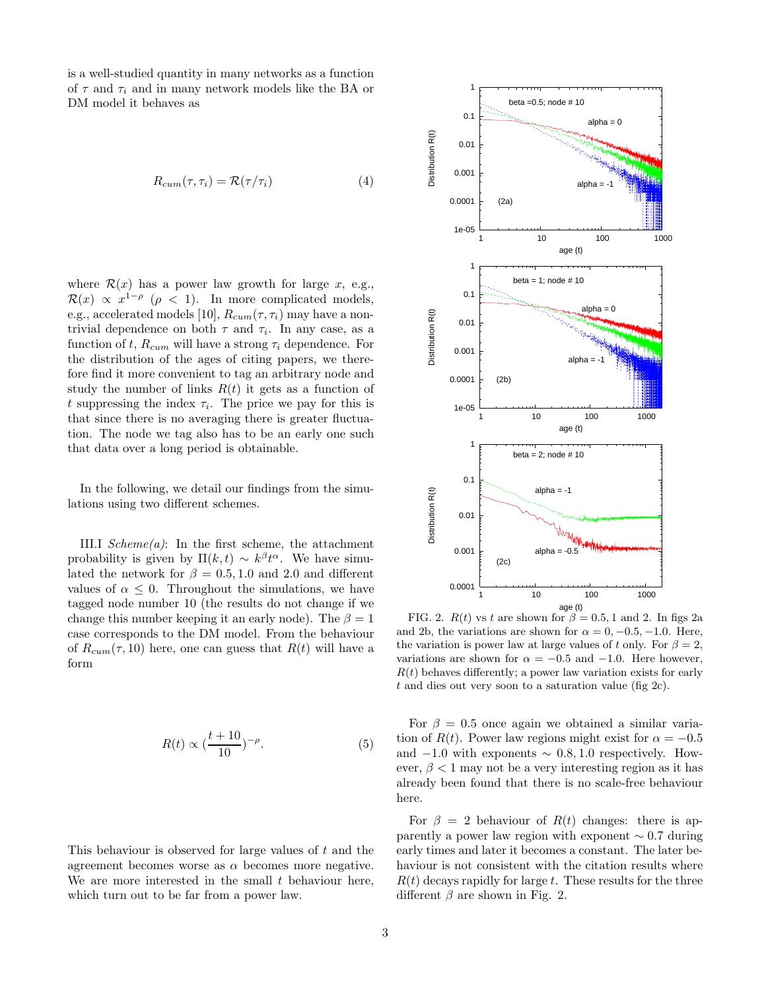is a well-studied quantity in many networks as a function of  $\tau$  and  $\tau_i$  and in many network models like the BA or DM model it behaves as

$$
R_{cum}(\tau, \tau_i) = \mathcal{R}(\tau/\tau_i)
$$
\n(4)

where  $\mathcal{R}(x)$  has a power law growth for large x, e.g.,  $\mathcal{R}(x) \propto x^{1-\rho}$  ( $\rho < 1$ ). In more complicated models, e.g., accelerated models [10],  $R_{cum}(\tau, \tau_i)$  may have a nontrivial dependence on both  $\tau$  and  $\tau_i$ . In any case, as a function of t,  $R_{cum}$  will have a strong  $\tau_i$  dependence. For the distribution of the ages of citing papers, we therefore find it more convenient to tag an arbitrary node and study the number of links  $R(t)$  it gets as a function of t suppressing the index  $\tau_i$ . The price we pay for this is that since there is no averaging there is greater fluctuation. The node we tag also has to be an early one such that data over a long period is obtainable.

In the following, we detail our findings from the simulations using two different schemes.

III.I  $Scheme(a)$ : In the first scheme, the attachment probability is given by  $\Pi(k, t) \sim k^{\beta} t^{\alpha}$ . We have simulated the network for  $\beta = 0.5, 1.0$  and 2.0 and different values of  $\alpha \leq 0$ . Throughout the simulations, we have tagged node number 10 (the results do not change if we change this number keeping it an early node). The  $\beta = 1$ case corresponds to the DM model. From the behaviour of  $R_{cum}(\tau, 10)$  here, one can guess that  $R(t)$  will have a form

$$
R(t) \propto \left(\frac{t+10}{10}\right)^{-\rho}.\tag{5}
$$

This behaviour is observed for large values of t and the agreement becomes worse as  $\alpha$  becomes more negative. We are more interested in the small  $t$  behaviour here, which turn out to be far from a power law.



FIG. 2.  $R(t)$  vs t are shown for  $\beta = 0.5, 1$  and 2. In figs 2a and 2b, the variations are shown for  $\alpha = 0, -0.5, -1.0$ . Here, the variation is power law at large values of t only. For  $\beta = 2$ , variations are shown for  $\alpha = -0.5$  and  $-1.0$ . Here however,  $R(t)$  behaves differently; a power law variation exists for early t and dies out very soon to a saturation value (fig 2c).

For  $\beta = 0.5$  once again we obtained a similar variation of  $R(t)$ . Power law regions might exist for  $\alpha = -0.5$ and  $-1.0$  with exponents  $\sim 0.8, 1.0$  respectively. However,  $\beta$  < 1 may not be a very interesting region as it has already been found that there is no scale-free behaviour here.

For  $\beta = 2$  behaviour of  $R(t)$  changes: there is apparently a power law region with exponent ∼ 0.7 during early times and later it becomes a constant. The later behaviour is not consistent with the citation results where  $R(t)$  decays rapidly for large t. These results for the three different  $\beta$  are shown in Fig. 2.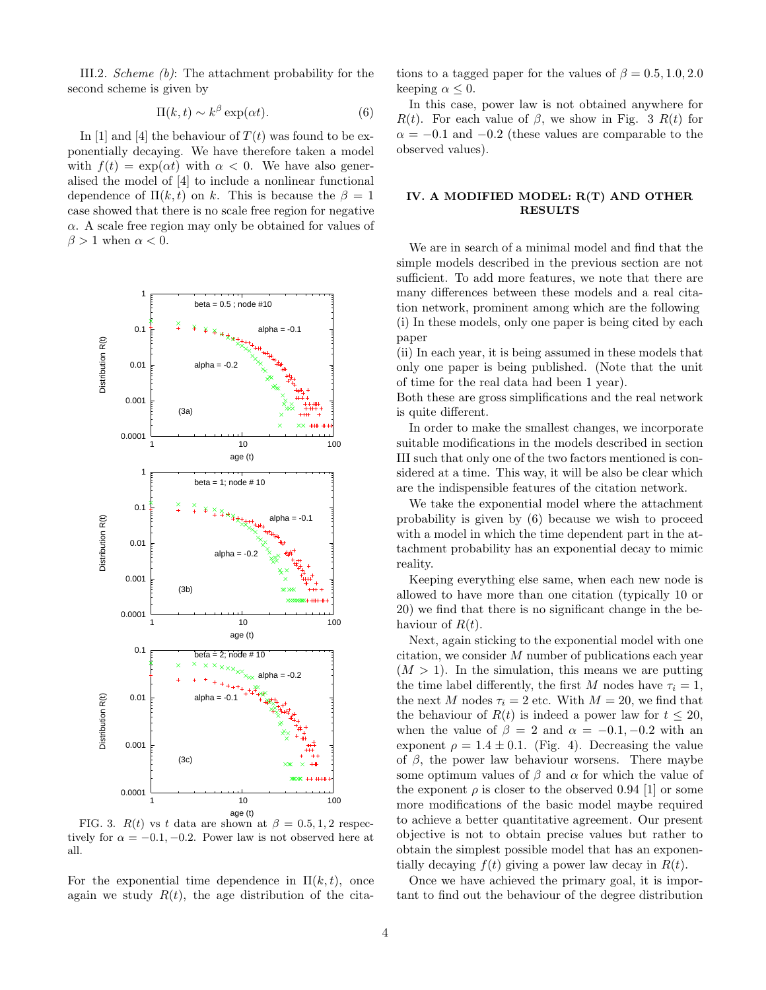III.2. Scheme (b): The attachment probability for the second scheme is given by

$$
\Pi(k,t) \sim k^{\beta} \exp(\alpha t). \tag{6}
$$

In [1] and [4] the behaviour of  $T(t)$  was found to be exponentially decaying. We have therefore taken a model with  $f(t) = \exp(\alpha t)$  with  $\alpha < 0$ . We have also generalised the model of [4] to include a nonlinear functional dependence of  $\Pi(k, t)$  on k. This is because the  $\beta = 1$ case showed that there is no scale free region for negative  $\alpha$ . A scale free region may only be obtained for values of  $\beta > 1$  when  $\alpha < 0$ .



FIG. 3.  $R(t)$  vs t data are shown at  $\beta = 0.5, 1, 2$  respectively for  $\alpha = -0.1, -0.2$ . Power law is not observed here at all.

For the exponential time dependence in  $\Pi(k, t)$ , once again we study  $R(t)$ , the age distribution of the citations to a tagged paper for the values of  $\beta = 0.5, 1.0, 2.0$ keeping  $\alpha \leq 0$ .

In this case, power law is not obtained anywhere for  $R(t)$ . For each value of  $\beta$ , we show in Fig. 3  $R(t)$  for  $\alpha = -0.1$  and  $-0.2$  (these values are comparable to the observed values).

## IV. A MODIFIED MODEL: R(T) AND OTHER RESULTS

We are in search of a minimal model and find that the simple models described in the previous section are not sufficient. To add more features, we note that there are many differences between these models and a real citation network, prominent among which are the following (i) In these models, only one paper is being cited by each paper

(ii) In each year, it is being assumed in these models that only one paper is being published. (Note that the unit of time for the real data had been 1 year).

Both these are gross simplifications and the real network is quite different.

In order to make the smallest changes, we incorporate suitable modifications in the models described in section III such that only one of the two factors mentioned is considered at a time. This way, it will be also be clear which are the indispensible features of the citation network.

We take the exponential model where the attachment probability is given by (6) because we wish to proceed with a model in which the time dependent part in the attachment probability has an exponential decay to mimic reality.

Keeping everything else same, when each new node is allowed to have more than one citation (typically 10 or 20) we find that there is no significant change in the behaviour of  $R(t)$ .

Next, again sticking to the exponential model with one citation, we consider M number of publications each year  $(M > 1)$ . In the simulation, this means we are putting the time label differently, the first M nodes have  $\tau_i = 1$ , the next M nodes  $\tau_i = 2$  etc. With  $M = 20$ , we find that the behaviour of  $R(t)$  is indeed a power law for  $t \leq 20$ , when the value of  $\beta = 2$  and  $\alpha = -0.1, -0.2$  with an exponent  $\rho = 1.4 \pm 0.1$ . (Fig. 4). Decreasing the value of  $\beta$ , the power law behaviour worsens. There maybe some optimum values of  $\beta$  and  $\alpha$  for which the value of the exponent  $\rho$  is closer to the observed 0.94 [1] or some more modifications of the basic model maybe required to achieve a better quantitative agreement. Our present objective is not to obtain precise values but rather to obtain the simplest possible model that has an exponentially decaying  $f(t)$  giving a power law decay in  $R(t)$ .

Once we have achieved the primary goal, it is important to find out the behaviour of the degree distribution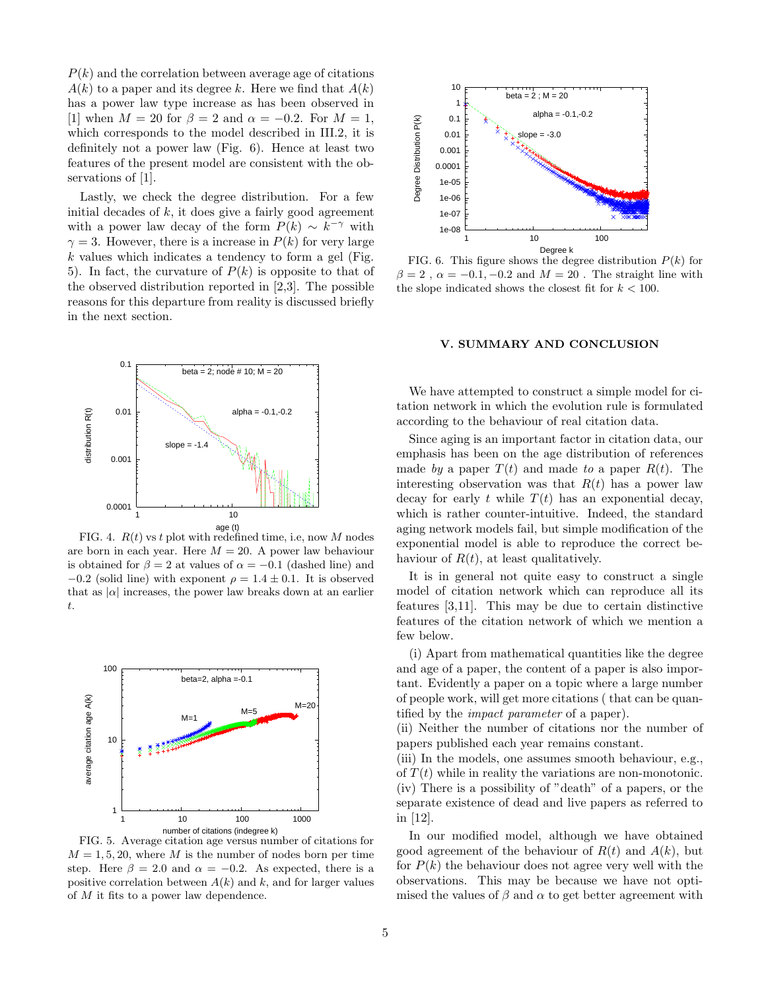$P(k)$  and the correlation between average age of citations  $A(k)$  to a paper and its degree k. Here we find that  $A(k)$ has a power law type increase as has been observed in [1] when  $M = 20$  for  $\beta = 2$  and  $\alpha = -0.2$ . For  $M = 1$ , which corresponds to the model described in III.2, it is definitely not a power law (Fig. 6). Hence at least two features of the present model are consistent with the observations of [1].

Lastly, we check the degree distribution. For a few initial decades of  $k$ , it does give a fairly good agreement with a power law decay of the form  $P(k) \sim k^{-\gamma}$  with  $\gamma = 3$ . However, there is a increase in  $P(k)$  for very large  $k$  values which indicates a tendency to form a gel (Fig. 5). In fact, the curvature of  $P(k)$  is opposite to that of the observed distribution reported in [2,3]. The possible reasons for this departure from reality is discussed briefly in the next section.



FIG. 4.  $R(t)$  vs t plot with redefined time, i.e, now M nodes are born in each year. Here  $M = 20$ . A power law behaviour is obtained for  $\beta = 2$  at values of  $\alpha = -0.1$  (dashed line) and  $-0.2$  (solid line) with exponent  $\rho = 1.4 \pm 0.1$ . It is observed that as  $|\alpha|$  increases, the power law breaks down at an earlier t.



FIG. 5. Average citation age versus number of citations for  $M = 1, 5, 20$ , where M is the number of nodes born per time step. Here  $\beta = 2.0$  and  $\alpha = -0.2$ . As expected, there is a positive correlation between  $A(k)$  and k, and for larger values of M it fits to a power law dependence.



FIG. 6. This figure shows the degree distribution  $P(k)$  for  $\beta = 2$ ,  $\alpha = -0.1, -0.2$  and  $M = 20$ . The straight line with the slope indicated shows the closest fit for  $k < 100$ .

### V. SUMMARY AND CONCLUSION

We have attempted to construct a simple model for citation network in which the evolution rule is formulated according to the behaviour of real citation data.

Since aging is an important factor in citation data, our emphasis has been on the age distribution of references made by a paper  $T(t)$  and made to a paper  $R(t)$ . The interesting observation was that  $R(t)$  has a power law decay for early t while  $T(t)$  has an exponential decay, which is rather counter-intuitive. Indeed, the standard aging network models fail, but simple modification of the exponential model is able to reproduce the correct behaviour of  $R(t)$ , at least qualitatively.

It is in general not quite easy to construct a single model of citation network which can reproduce all its features [3,11]. This may be due to certain distinctive features of the citation network of which we mention a few below.

(i) Apart from mathematical quantities like the degree and age of a paper, the content of a paper is also important. Evidently a paper on a topic where a large number of people work, will get more citations ( that can be quantified by the impact parameter of a paper).

(ii) Neither the number of citations nor the number of papers published each year remains constant.

(iii) In the models, one assumes smooth behaviour, e.g., of  $T(t)$  while in reality the variations are non-monotonic. (iv) There is a possibility of "death" of a papers, or the separate existence of dead and live papers as referred to in [12].

In our modified model, although we have obtained good agreement of the behaviour of  $R(t)$  and  $A(k)$ , but for  $P(k)$  the behaviour does not agree very well with the observations. This may be because we have not optimised the values of  $\beta$  and  $\alpha$  to get better agreement with